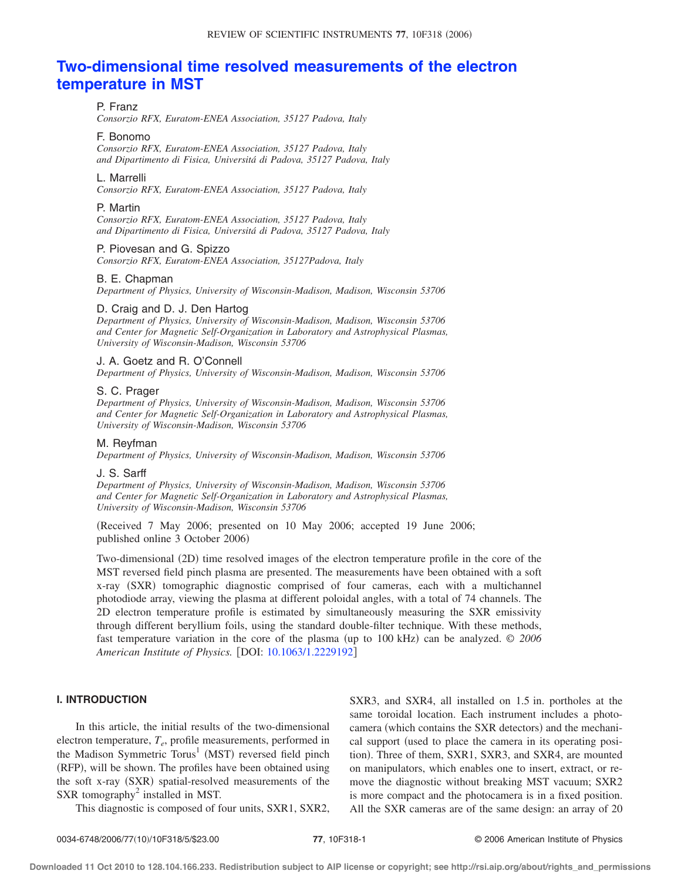# **[Two-dimensional time resolved measurements of the electron](http://dx.doi.org/10.1063/1.2229192) [temperature in MST](http://dx.doi.org/10.1063/1.2229192)**

### P. Franz

*Consorzio RFX, Euratom-ENEA Association, 35127 Padova, Italy*

### F. Bonomo

*Consorzio RFX, Euratom-ENEA Association, 35127 Padova, Italy and Dipartimento di Fisica, Universitá di Padova, 35127 Padova, Italy*

### L. Marrelli

*Consorzio RFX, Euratom-ENEA Association, 35127 Padova, Italy*

### P. Martin

*Consorzio RFX, Euratom-ENEA Association, 35127 Padova, Italy and Dipartimento di Fisica, Universitá di Padova, 35127 Padova, Italy*

# P. Piovesan and G. Spizzo

*Consorzio RFX, Euratom-ENEA Association, 35127Padova, Italy*

### B. E. Chapman

*Department of Physics, University of Wisconsin-Madison, Madison, Wisconsin 53706*

### D. Craig and D. J. Den Hartog

*Department of Physics, University of Wisconsin-Madison, Madison, Wisconsin 53706 and Center for Magnetic Self-Organization in Laboratory and Astrophysical Plasmas, University of Wisconsin-Madison, Wisconsin 53706*

### J. A. Goetz and R. O'Connell

*Department of Physics, University of Wisconsin-Madison, Madison, Wisconsin 53706*

# S. C. Prager

*Department of Physics, University of Wisconsin-Madison, Madison, Wisconsin 53706 and Center for Magnetic Self-Organization in Laboratory and Astrophysical Plasmas, University of Wisconsin-Madison, Wisconsin 53706*

#### M. Reyfman

*Department of Physics, University of Wisconsin-Madison, Madison, Wisconsin 53706*

### J. S. Sarff

*Department of Physics, University of Wisconsin-Madison, Madison, Wisconsin 53706 and Center for Magnetic Self-Organization in Laboratory and Astrophysical Plasmas, University of Wisconsin-Madison, Wisconsin 53706*

!Received 7 May 2006; presented on 10 May 2006; accepted 19 June 2006; published online 3 October 2006)

Two-dimensional (2D) time resolved images of the electron temperature profile in the core of the MST reversed field pinch plasma are presented. The measurements have been obtained with a soft x-ray (SXR) tomographic diagnostic comprised of four cameras, each with a multichannel photodiode array, viewing the plasma at different poloidal angles, with a total of 74 channels. The 2D electron temperature profile is estimated by simultaneously measuring the SXR emissivity through different beryllium foils, using the standard double-filter technique. With these methods, fast temperature variation in the core of the plasma (up to 100 kHz) can be analyzed. © 2006 *American Institute of Physics.* [DOI: [10.1063/1.2229192](http://dx.doi.org/10.1063/1.2229192)]

# **I. INTRODUCTION**

In this article, the initial results of the two-dimensional electron temperature, *Te*, profile measurements, performed in the Madison Symmetric  $Torus<sup>1</sup>$  (MST) reversed field pinch (RFP), will be shown. The profiles have been obtained using the soft x-ray (SXR) spatial-resolved measurements of the SXR tomography<sup>2</sup> installed in MST.

This diagnostic is composed of four units, SXR1, SXR2,

SXR3, and SXR4, all installed on 1.5 in. portholes at the same toroidal location. Each instrument includes a photocamera (which contains the SXR detectors) and the mechanical support (used to place the camera in its operating position). Three of them, SXR1, SXR3, and SXR4, are mounted on manipulators, which enables one to insert, extract, or remove the diagnostic without breaking MST vacuum; SXR2 is more compact and the photocamera is in a fixed position. All the SXR cameras are of the same design: an array of 20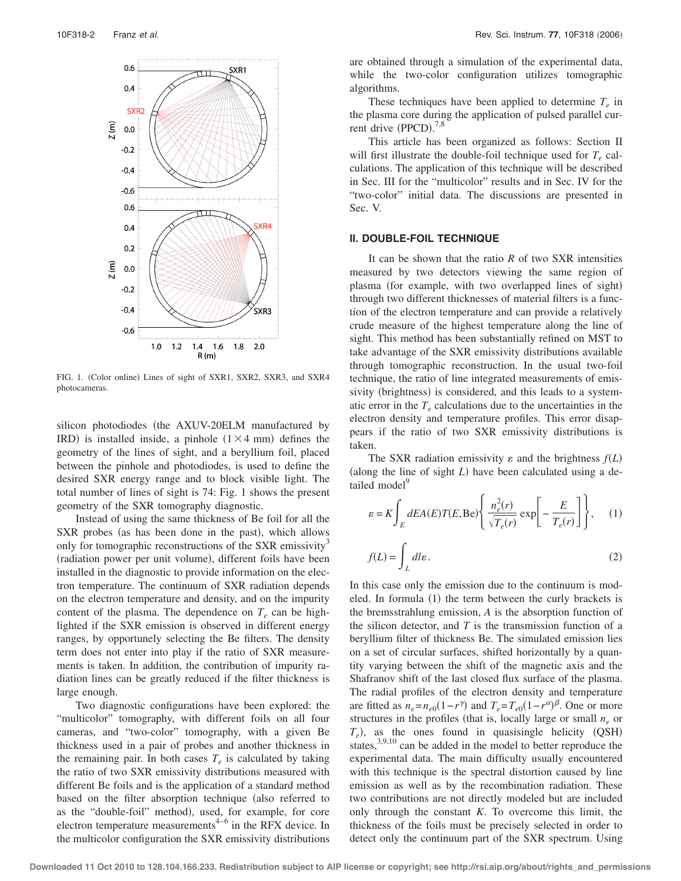

FIG. 1. (Color online) Lines of sight of SXR1, SXR2, SXR3, and SXR4 photocameras.

silicon photodiodes (the AXUV-20ELM manufactured by IRD) is installed inside, a pinhole  $(1 \times 4 \text{ mm})$  defines the geometry of the lines of sight, and a beryllium foil, placed between the pinhole and photodiodes, is used to define the desired SXR energy range and to block visible light. The total number of lines of sight is 74: Fig. 1 shows the present geometry of the SXR tomography diagnostic.

Instead of using the same thickness of Be foil for all the SXR probes (as has been done in the past), which allows only for tomographic reconstructions of the SXR emissivity<sup>3</sup> (radiation power per unit volume), different foils have been installed in the diagnostic to provide information on the electron temperature. The continuum of SXR radiation depends on the electron temperature and density, and on the impurity content of the plasma. The dependence on  $T_e$  can be highlighted if the SXR emission is observed in different energy ranges, by opportunely selecting the Be filters. The density term does not enter into play if the ratio of SXR measurements is taken. In addition, the contribution of impurity radiation lines can be greatly reduced if the filter thickness is large enough.

Two diagnostic configurations have been explored: the "multicolor" tomography, with different foils on all four cameras, and "two-color" tomography, with a given Be thickness used in a pair of probes and another thickness in the remaining pair. In both cases  $T_e$  is calculated by taking the ratio of two SXR emissivity distributions measured with different Be foils and is the application of a standard method based on the filter absorption technique (also referred to as the "double-foil" method), used, for example, for core electron temperature measurements $4-6$  in the RFX device. In the multicolor configuration the SXR emissivity distributions

are obtained through a simulation of the experimental data, while the two-color configuration utilizes tomographic algorithms.

These techniques have been applied to determine  $T_e$  in the plasma core during the application of pulsed parallel current drive  $(PPCD)$ .<sup>7,8</sup>

This article has been organized as follows: Section II will first illustrate the double-foil technique used for  $T_e$  calculations. The application of this technique will be described in Sec. III for the "multicolor" results and in Sec. IV for the "two-color" initial data. The discussions are presented in Sec. V.

# **II. DOUBLE-FOIL TECHNIQUE**

It can be shown that the ratio *R* of two SXR intensities measured by two detectors viewing the same region of plasma (for example, with two overlapped lines of sight) through two different thicknesses of material filters is a function of the electron temperature and can provide a relatively crude measure of the highest temperature along the line of sight. This method has been substantially refined on MST to take advantage of the SXR emissivity distributions available through tomographic reconstruction. In the usual two-foil technique, the ratio of line integrated measurements of emissivity (brightness) is considered, and this leads to a systematic error in the  $T_e$  calculations due to the uncertainties in the electron density and temperature profiles. This error disappears if the ratio of two SXR emissivity distributions is taken.

The SXR radiation emissivity  $\varepsilon$  and the brightness  $f(L)$ (along the line of sight  $L$ ) have been calculated using a detailed model<sup>9</sup>

$$
\varepsilon = K \int_{E} dE A(E) T(E, \text{Be}) \left\{ \frac{n_e^2(r)}{\sqrt{T_e(r)}} \exp\left[-\frac{E}{T_e(r)}\right] \right\}, \quad (1)
$$

$$
f(L) = \int_{L} dl \varepsilon. \quad (2)
$$

In this case only the emission due to the continuum is modeled. In formula  $(1)$  the term between the curly brackets is the bremsstrahlung emission, *A* is the absorption function of the silicon detector, and *T* is the transmission function of a beryllium filter of thickness Be. The simulated emission lies on a set of circular surfaces, shifted horizontally by a quantity varying between the shift of the magnetic axis and the Shafranov shift of the last closed flux surface of the plasma. The radial profiles of the electron density and temperature are fitted as  $n_e = n_{e0}(1 - r^{\gamma})$  and  $T_e = T_{e0}(1 - r^{\alpha})^{\beta}$ . One or more structures in the profiles (that is, locally large or small  $n_e$  or  $T_e$ ), as the ones found in quasisingle helicity  $(QSH)$ states, $3,9,10$  can be added in the model to better reproduce the experimental data. The main difficulty usually encountered with this technique is the spectral distortion caused by line emission as well as by the recombination radiation. These two contributions are not directly modeled but are included only through the constant *K*. To overcome this limit, the thickness of the foils must be precisely selected in order to detect only the continuum part of the SXR spectrum. Using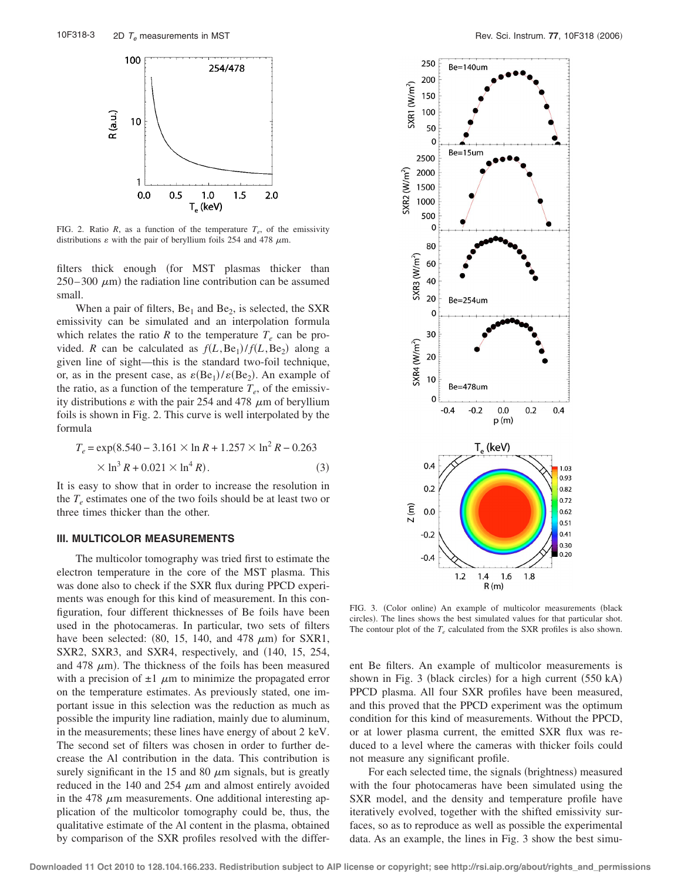

FIG. 2. Ratio *R*, as a function of the temperature  $T_e$ , of the emissivity distributions  $\varepsilon$  with the pair of beryllium foils 254 and 478  $\mu$ m.

filters thick enough (for MST plasmas thicker than  $250-300 \mu m$  the radiation line contribution can be assumed small.

When a pair of filters,  $Be_1$  and  $Be_2$ , is selected, the SXR emissivity can be simulated and an interpolation formula which relates the ratio  $R$  to the temperature  $T_e$  can be provided. *R* can be calculated as  $f(L, Be_1)/f(L, Be_2)$  along a given line of sight—this is the standard two-foil technique, or, as in the present case, as  $\varepsilon(Be_1)/\varepsilon(Be_2)$ . An example of the ratio, as a function of the temperature  $T_e$ , of the emissivity distributions  $\varepsilon$  with the pair 254 and 478  $\mu$ m of beryllium foils is shown in Fig. 2. This curve is well interpolated by the formula

$$
T_e = \exp(8.540 - 3.161 \times \ln R + 1.257 \times \ln^2 R - 0.263
$$
  
× ln<sup>3</sup> R + 0.021 × ln<sup>4</sup> R). (3)

It is easy to show that in order to increase the resolution in the  $T_e$  estimates one of the two foils should be at least two or three times thicker than the other.

### **III. MULTICOLOR MEASUREMENTS**

The multicolor tomography was tried first to estimate the electron temperature in the core of the MST plasma. This was done also to check if the SXR flux during PPCD experiments was enough for this kind of measurement. In this configuration, four different thicknesses of Be foils have been used in the photocameras. In particular, two sets of filters have been selected:  $(80, 15, 140, \text{ and } 478 \mu \text{m})$  for SXR1,  $SXR2$ ,  $SXR3$ , and  $SXR4$ , respectively, and  $(140, 15, 254,$ and 478  $\mu$ m). The thickness of the foils has been measured with a precision of  $\pm 1$   $\mu$ m to minimize the propagated error on the temperature estimates. As previously stated, one important issue in this selection was the reduction as much as possible the impurity line radiation, mainly due to aluminum, in the measurements; these lines have energy of about 2 keV. The second set of filters was chosen in order to further decrease the Al contribution in the data. This contribution is surely significant in the 15 and 80  $\mu$ m signals, but is greatly reduced in the 140 and 254  $\mu$ m and almost entirely avoided in the 478  $\mu$ m measurements. One additional interesting application of the multicolor tomography could be, thus, the qualitative estimate of the Al content in the plasma, obtained by comparison of the SXR profiles resolved with the differ-



FIG. 3. (Color online) An example of multicolor measurements (black circles). The lines shows the best simulated values for that particular shot. The contour plot of the  $T_e$  calculated from the SXR profiles is also shown.

ent Be filters. An example of multicolor measurements is shown in Fig. 3 (black circles) for a high current  $(550 kA)$ PPCD plasma. All four SXR profiles have been measured, and this proved that the PPCD experiment was the optimum condition for this kind of measurements. Without the PPCD, or at lower plasma current, the emitted SXR flux was reduced to a level where the cameras with thicker foils could not measure any significant profile.

For each selected time, the signals (brightness) measured with the four photocameras have been simulated using the SXR model, and the density and temperature profile have iteratively evolved, together with the shifted emissivity surfaces, so as to reproduce as well as possible the experimental data. As an example, the lines in Fig. 3 show the best simu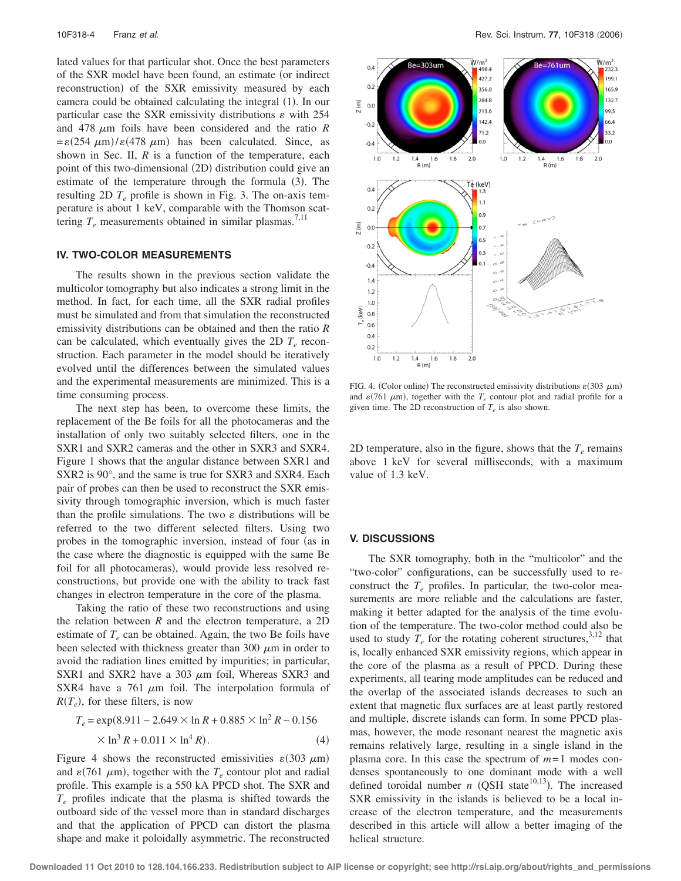lated values for that particular shot. Once the best parameters of the SXR model have been found, an estimate (or indirect reconstruction) of the SXR emissivity measured by each camera could be obtained calculating the integral (1). In our particular case the SXR emissivity distributions  $\varepsilon$  with 254 and 478  $\mu$ m foils have been considered and the ratio *R*  $=\varepsilon(254 \mu m)/\varepsilon(478 \mu m)$  has been calculated. Since, as shown in Sec. II, *R* is a function of the temperature, each point of this two-dimensional (2D) distribution could give an estimate of the temperature through the formula  $(3)$ . The resulting 2D  $T_e$  profile is shown in Fig. 3. The on-axis temperature is about 1 keV, comparable with the Thomson scattering  $T_e$  measurements obtained in similar plasmas.<sup>7,11</sup>

### **IV. TWO-COLOR MEASUREMENTS**

The results shown in the previous section validate the multicolor tomography but also indicates a strong limit in the method. In fact, for each time, all the SXR radial profiles must be simulated and from that simulation the reconstructed emissivity distributions can be obtained and then the ratio *R* can be calculated, which eventually gives the 2D  $T_e$  reconstruction. Each parameter in the model should be iteratively evolved until the differences between the simulated values and the experimental measurements are minimized. This is a time consuming process.

The next step has been, to overcome these limits, the replacement of the Be foils for all the photocameras and the installation of only two suitably selected filters, one in the SXR1 and SXR2 cameras and the other in SXR3 and SXR4. Figure 1 shows that the angular distance between SXR1 and SXR2 is 90°, and the same is true for SXR3 and SXR4. Each pair of probes can then be used to reconstruct the SXR emissivity through tomographic inversion, which is much faster than the profile simulations. The two  $\varepsilon$  distributions will be referred to the two different selected filters. Using two probes in the tomographic inversion, instead of four (as in the case where the diagnostic is equipped with the same Be foil for all photocameras), would provide less resolved reconstructions, but provide one with the ability to track fast changes in electron temperature in the core of the plasma.

Taking the ratio of these two reconstructions and using the relation between *R* and the electron temperature, a 2D estimate of  $T_e$  can be obtained. Again, the two Be foils have been selected with thickness greater than 300  $\mu$ m in order to avoid the radiation lines emitted by impurities; in particular, SXR1 and SXR2 have a 303  $\mu$ m foil, Whereas SXR3 and SXR4 have a 761  $\mu$ m foil. The interpolation formula of  $R(T_e)$ , for these filters, is now

$$
T_e = \exp(8.911 - 2.649 \times \ln R + 0.885 \times \ln^2 R - 0.156
$$
  
×  $\ln^3 R + 0.011 \times \ln^4 R$ ). (4)

Figure 4 shows the reconstructed emissivities  $\varepsilon$ (303  $\mu$ m) and  $\varepsilon$ (761  $\mu$ m), together with the  $T_e$  contour plot and radial profile. This example is a 550 kA PPCD shot. The SXR and *Te* profiles indicate that the plasma is shifted towards the outboard side of the vessel more than in standard discharges and that the application of PPCD can distort the plasma shape and make it poloidally asymmetric. The reconstructed



FIG. 4. (Color online) The reconstructed emissivity distributions  $\varepsilon$  (303  $\mu$ m) and  $\varepsilon$ (761  $\mu$ m), together with the  $T_e$  contour plot and radial profile for a given time. The 2D reconstruction of  $T_e$  is also shown.

2D temperature, also in the figure, shows that the  $T_e$  remains above 1 keV for several milliseconds, with a maximum value of 1.3 keV.

# **V. DISCUSSIONS**

The SXR tomography, both in the "multicolor" and the "two-color" configurations, can be successfully used to reconstruct the  $T_e$  profiles. In particular, the two-color measurements are more reliable and the calculations are faster, making it better adapted for the analysis of the time evolution of the temperature. The two-color method could also be used to study  $T_e$  for the rotating coherent structures,<sup>3,12</sup> that is, locally enhanced SXR emissivity regions, which appear in the core of the plasma as a result of PPCD. During these experiments, all tearing mode amplitudes can be reduced and the overlap of the associated islands decreases to such an extent that magnetic flux surfaces are at least partly restored and multiple, discrete islands can form. In some PPCD plasmas, however, the mode resonant nearest the magnetic axis remains relatively large, resulting in a single island in the plasma core. In this case the spectrum of *m*= 1 modes condenses spontaneously to one dominant mode with a well defined toroidal number  $n$  (QSH state<sup>10,13</sup>). The increased SXR emissivity in the islands is believed to be a local increase of the electron temperature, and the measurements described in this article will allow a better imaging of the helical structure.